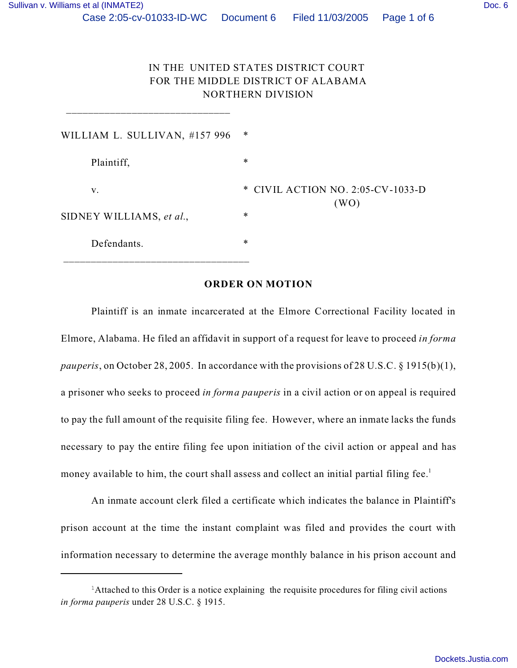\_\_\_\_\_\_\_\_\_\_\_\_\_\_\_\_\_\_\_\_\_\_\_\_\_\_\_\_\_\_

# IN THE UNITED STATES DISTRICT COURT FOR THE MIDDLE DISTRICT OF ALABAMA NORTHERN DIVISION

| WILLIAM L. SULLIVAN, #157 996                   |  |
|-------------------------------------------------|--|
| $\ast$<br>Plaintiff,                            |  |
| * CIVIL ACTION NO. 2:05-CV-1033-D<br>V.<br>(WO) |  |
| $\ast$<br>SIDNEY WILLIAMS, et al.,              |  |
| $\ast$<br>Defendants.                           |  |

#### **ORDER ON MOTION**

Plaintiff is an inmate incarcerated at the Elmore Correctional Facility located in Elmore, Alabama. He filed an affidavit in support of a request for leave to proceed *in forma pauperis*, on October 28, 2005. In accordance with the provisions of 28 U.S.C. § 1915(b)(1), a prisoner who seeks to proceed *in forma pauperis* in a civil action or on appeal is required to pay the full amount of the requisite filing fee. However, where an inmate lacks the funds necessary to pay the entire filing fee upon initiation of the civil action or appeal and has money available to him, the court shall assess and collect an initial partial filing fee.<sup>1</sup>

An inmate account clerk filed a certificate which indicates the balance in Plaintiff's prison account at the time the instant complaint was filed and provides the court with information necessary to determine the average monthly balance in his prison account and

<sup>&</sup>lt;sup>1</sup>Attached to this Order is a notice explaining the requisite procedures for filing civil actions *in forma pauperis* under 28 U.S.C. § 1915.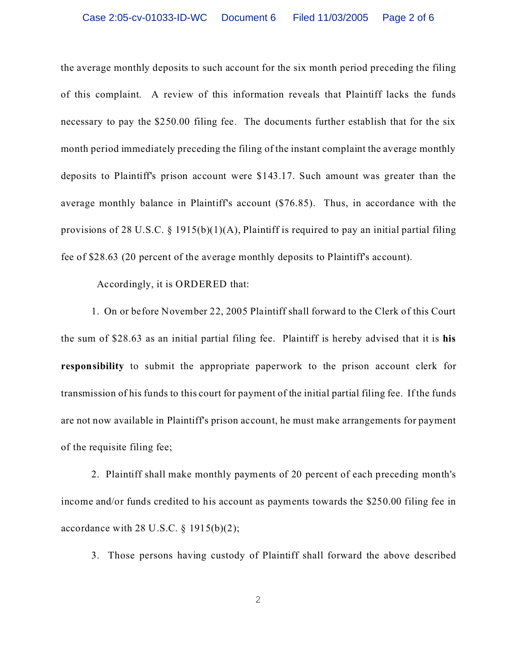the average monthly deposits to such account for the six month period preceding the filing of this complaint. A review of this information reveals that Plaintiff lacks the funds necessary to pay the \$250.00 filing fee. The documents further establish that for the six month period immediately preceding the filing of the instant complaint the average monthly deposits to Plaintiff's prison account were \$143.17. Such amount was greater than the average monthly balance in Plaintiff's account (\$76.85). Thus, in accordance with the provisions of 28 U.S.C. § 1915(b)(1)(A), Plaintiff is required to pay an initial partial filing fee of \$28.63 (20 percent of the average monthly deposits to Plaintiff's account).

Accordingly, it is ORDERED that:

1. On or before November 22, 2005 Plaintiff shall forward to the Clerk of this Court the sum of \$28.63 as an initial partial filing fee. Plaintiff is hereby advised that it is **his responsibility** to submit the appropriate paperwork to the prison account clerk for transmission of his funds to this court for payment of the initial partial filing fee. If the funds are not now available in Plaintiff's prison account, he must make arrangements for payment of the requisite filing fee;

2. Plaintiff shall make monthly payments of 20 percent of each preceding month's income and/or funds credited to his account as payments towards the \$250.00 filing fee in accordance with  $28$  U.S.C.  $\S$  1915(b)(2);

3. Those persons having custody of Plaintiff shall forward the above described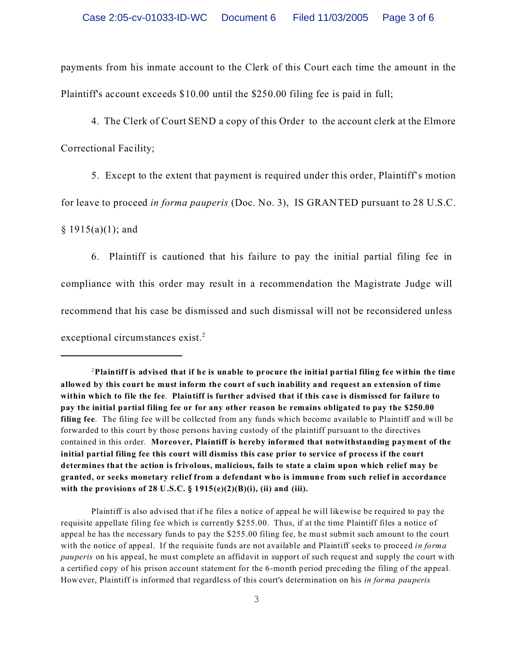payments from his inmate account to the Clerk of this Court each time the amount in the Plaintiff's account exceeds \$10.00 until the \$250.00 filing fee is paid in full;

4. The Clerk of Court SEND a copy of this Order to the account clerk at the Elmore Correctional Facility;

5. Except to the extent that payment is required under this order, Plaintiff's motion for leave to proceed *in forma pauperis* (Doc. No. 3), IS GRANTED pursuant to 28 U.S.C.

 $§ 1915(a)(1);$  and

6. Plaintiff is cautioned that his failure to pay the initial partial filing fee in compliance with this order may result in a recommendation the Magistrate Judge will recommend that his case be dismissed and such dismissal will not be reconsidered unless exceptional circumstances exist. $2$ 

Plaintiff is also advised that if he files a notice of appeal he will likewise be required to pay the requisite appellate filing fee which is currently \$255.00. Thus, if at the time Plaintiff files a notice of appeal he has the necessary funds to pay the \$255.00 filing fee, he must submit such amount to the court with the notice of appeal. If the requisite funds are not available and Plaintiff seeks to proceed *in forma pauperis* on his appeal, he must complete an affidavit in support of such request and supply the court with a certified copy of his prison account statement for the 6-month period preceding the filing of the appeal. However, Plaintiff is informed that regardless of this court's determination on his *in forma pauperis*

<sup>2</sup>**Plaintiff is advised that if he is unable to procure the initial partial filing fee within the time allowed by this court he must inform the court of such inability and request an extension of time within which to file the fee**. **Plaintiff is further advised that if this case is dismissed for failure to pay the initial partial filing fee or for any other reason he remains obligated to pay the \$250.00 filing fee**. The filing fee will be collected from any funds which become available to Plaintiff and will be forwarded to this court by those persons having custody of the plaintiff pursuant to the directives contained in this order. **Moreover, Plaintiff is hereby informed that notwithstanding payment of the initial partial filing fee this court will dismiss this case prior to service of process if the court determines that the action is frivolous, malicious, fails to state a claim upon which relief may be granted, or seeks monetary relief from a defendant who is immune from such relief in accordance with the provisions of 28 U.S.C. § 1915(e)(2)(B)(i), (ii) and (iii).**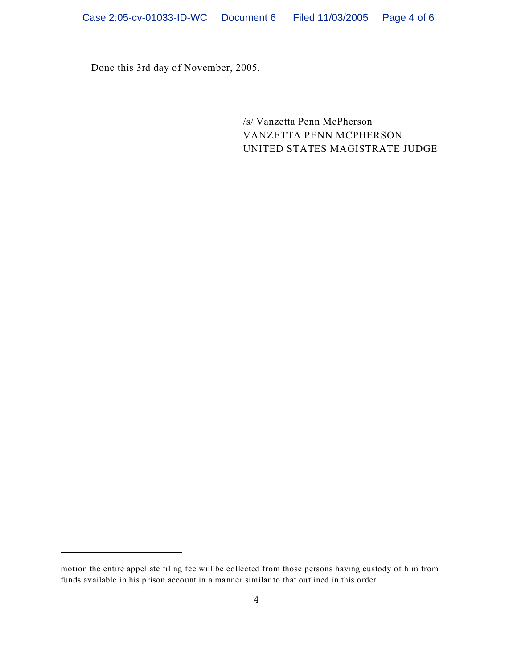Done this 3rd day of November, 2005.

/s/ Vanzetta Penn McPherson VANZETTA PENN MCPHERSON UNITED STATES MAGISTRATE JUDGE

motion the entire appellate filing fee will be collected from those persons having custody of him from funds available in his prison account in a manner similar to that outlined in this order.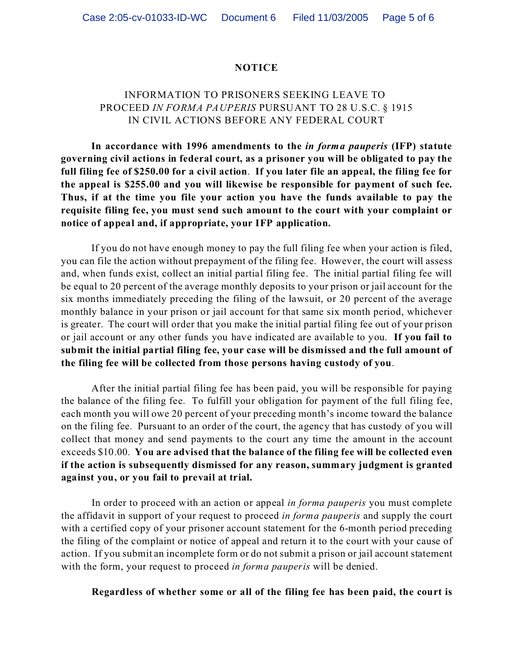### **NOTICE**

## INFORMATION TO PRISONERS SEEKING LEAVE TO PROCEED *IN FORMA PAUPERIS* PURSUANT TO 28 U.S.C. § 1915 IN CIVIL ACTIONS BEFORE ANY FEDERAL COURT

**In accordance with 1996 amendments to the** *in forma pauperis* **(IFP) statute governing civil actions in federal court, as a prisoner you will be obligated to pay the full filing fee of \$250.00 for a civil action**. **If you later file an appeal, the filing fee for the appeal is \$255.00 and you will likewise be responsible for payment of such fee. Thus, if at the time you file your action you have the funds available to pay the requisite filing fee, you must send such amount to the court with your complaint or notice of appeal and, if appropriate, your IFP application.** 

If you do not have enough money to pay the full filing fee when your action is filed, you can file the action without prepayment of the filing fee. However, the court will assess and, when funds exist, collect an initial partial filing fee. The initial partial filing fee will be equal to 20 percent of the average monthly deposits to your prison or jail account for the six months immediately preceding the filing of the lawsuit, or 20 percent of the average monthly balance in your prison or jail account for that same six month period, whichever is greater. The court will order that you make the initial partial filing fee out of your prison or jail account or any other funds you have indicated are available to you. **If you fail to submit the initial partial filing fee, your case will be dismissed and the full amount of the filing fee will be collected from those persons having custody of you**.

After the initial partial filing fee has been paid, you will be responsible for paying the balance of the filing fee. To fulfill your obligation for payment of the full filing fee, each month you will owe 20 percent of your preceding month's income toward the balance on the filing fee. Pursuant to an order of the court, the agency that has custody of you will collect that money and send payments to the court any time the amount in the account exceeds \$10.00. **You are advised that the balance of the filing fee will be collected even if the action is subsequently dismissed for any reason, summary judgment is granted against you, or you fail to prevail at trial.** 

In order to proceed with an action or appeal *in forma pauperis* you must complete the affidavit in support of your request to proceed *in forma pauperis* and supply the court with a certified copy of your prisoner account statement for the 6-month period preceding the filing of the complaint or notice of appeal and return it to the court with your cause of action. If you submit an incomplete form or do not submit a prison or jail account statement with the form, your request to proceed *in forma pauperis* will be denied.

### **Regardless of whether some or all of the filing fee has been paid, the court is**